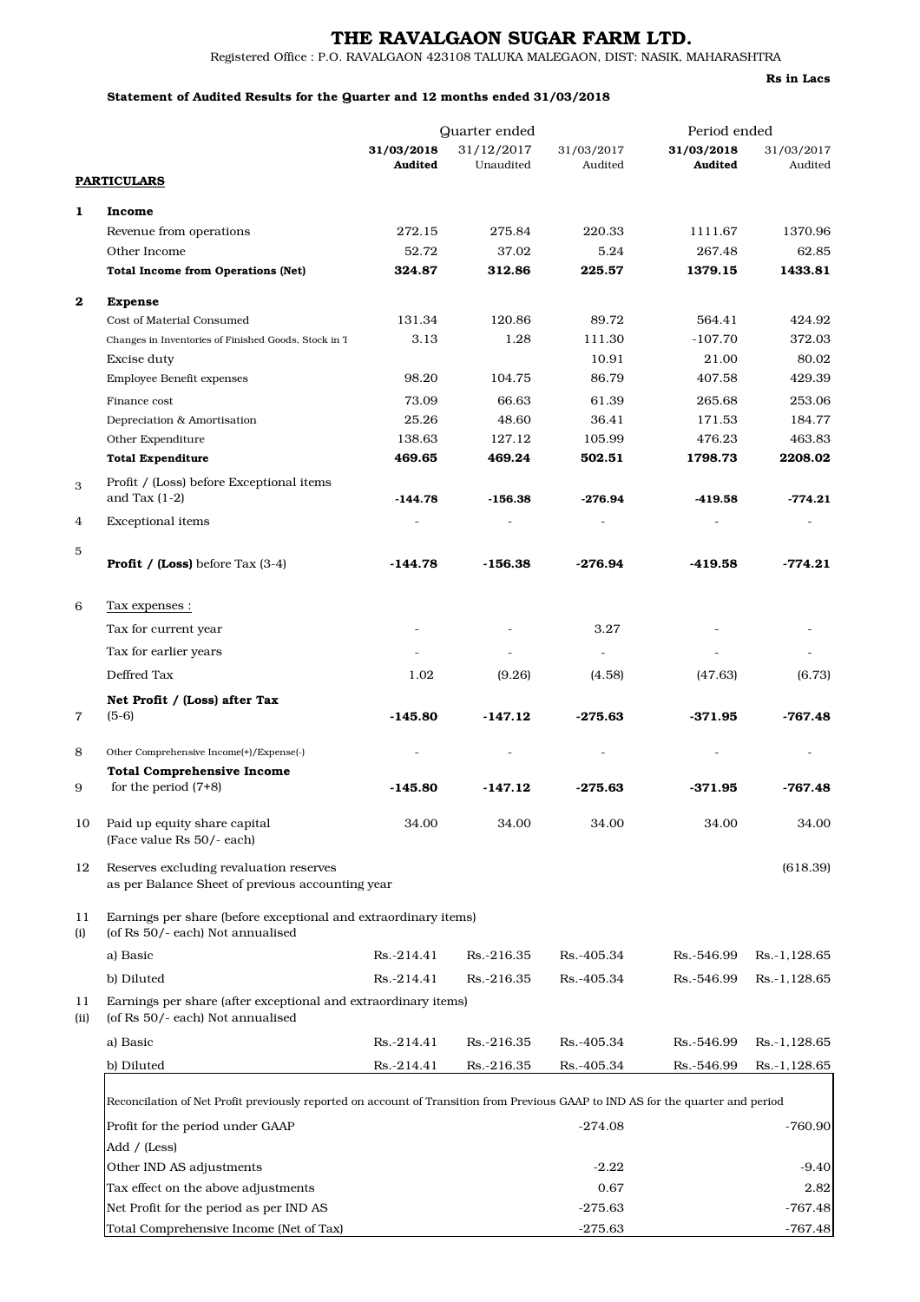## THE RAVALGAON SUGAR FARM LTD.

Registered Office : P.O. RAVALGAON 423108 TALUKA MALEGAON, DIST: NASIK, MAHARASHTRA

#### Statement of Audited Results for the Quarter and 12 months ended 31/03/2018

Quarter ended Period ended **31/03/2018** 31/12/2017 31/03/2017 **31/03/2018** 31/03/2017<br>**Audited** Unaudited Audited **Audited** Audited **PARTICULARS** Audited Unaudited Audited Audited Audited Audited 1 Income Revenue from operations 272.15 275.84 220.33 1111.67 1370.96 Other Income 52.72 37.02 5.24 267.48 62.85 Total Income from Operations (Net) 324.87 312.86 225.57 1379.15 1433.81 2 Expense Cost of Material Consumed 131.34 120.86 89.72 564.41 424.92 Changes in Inventories of Finished Goods, Stock in Trade, N. 3.13 1.28 111.30 -107.70 372.03 Excise duty 10.91 21.00 80.02 Employee Benefit expenses 68.20 104.75 86.79 407.58 429.39 Finance cost 73.09 66.63 61.39 265.68 253.06 Depreciation & Amortisation 25.26 48.60 36.41 171.53 184.77 Other Expenditure 138.63 127.12 105.99 476.23 463.83 Total Expenditure 469.65 469.24 502.51 1798.73 2208.02 3 Profit / (Loss) before Exceptional items and Tax (1-2) -144.78 -144.78 -156.38 -276.94 -419.58 -774.21 4 Exceptional items 5 **Profit / (Loss)** before Tax (3-4)  $-144.78$   $-156.38$   $-276.94$   $-419.58$   $-774.21$ 6 Tax expenses : Tax for current year  $\sim$  3.27 Tax for earlier years  $\overline{\phantom{a}}$  -  $\overline{\phantom{a}}$  -Deffred Tax (9.26) 1.02 (4.58) (47.63) (6.73) 7 Net Profit / (Loss) after Tax  $(5-6)$  -145.80  $-147.12$   $-275.63$   $-371.95$   $-767.48$ 8 Other Comprehensive Income(+)/Expense(-) 9 Total Comprehensive Income for the period (7+8) -145.80 -147.12 -275.63 -371.95 -767.48 10 Paid up equity share capital 34.00 34.00 34.00 34.00 34.00 (Face value Rs 50/- each) 12 Reserves excluding revaluation reserves (618.39) as per Balance Sheet of previous accounting year 11 Earnings per share (before exceptional and extraordinary items) (i) (of Rs 50/- each) Not annualised a) Basic Rs.-214.41 Rs.-216.35 Rs.-405.34 Rs.-546.99 Rs.-1,128.65 b) Diluted Rs.-214.41 Rs.-216.35 Rs.-405.34 Rs.-546.99 Rs.-1,128.65 11 Earnings per share (after exceptional and extraordinary items) (ii) (of Rs 50/- each) Not annualised a) Basic Rs.-214.41 Rs.-216.35 Rs.-405.34 Rs.-546.99 Rs.-1,128.65 b) Diluted Rs.-214.41 Rs.-216.35 Rs.-405.34 Rs.-546.99 Rs.-1,128.65 Reconcilation of Net Profit previously reported on account of Transition from Previous GAAP to IND AS for the quarter and period

| Profit for the period under GAAP        | $-274.08$ | $-760.90$ |
|-----------------------------------------|-----------|-----------|
| Add / (Less)                            |           |           |
| Other IND AS adjustments                | $-2.22$   | $-9.40$   |
| Tax effect on the above adjustments     | 0.67      | 2.82      |
| Net Profit for the period as per IND AS | $-275.63$ | $-767.48$ |
| Total Comprehensive Income (Net of Tax) | $-275.63$ | $-767.48$ |

Rs in Lacs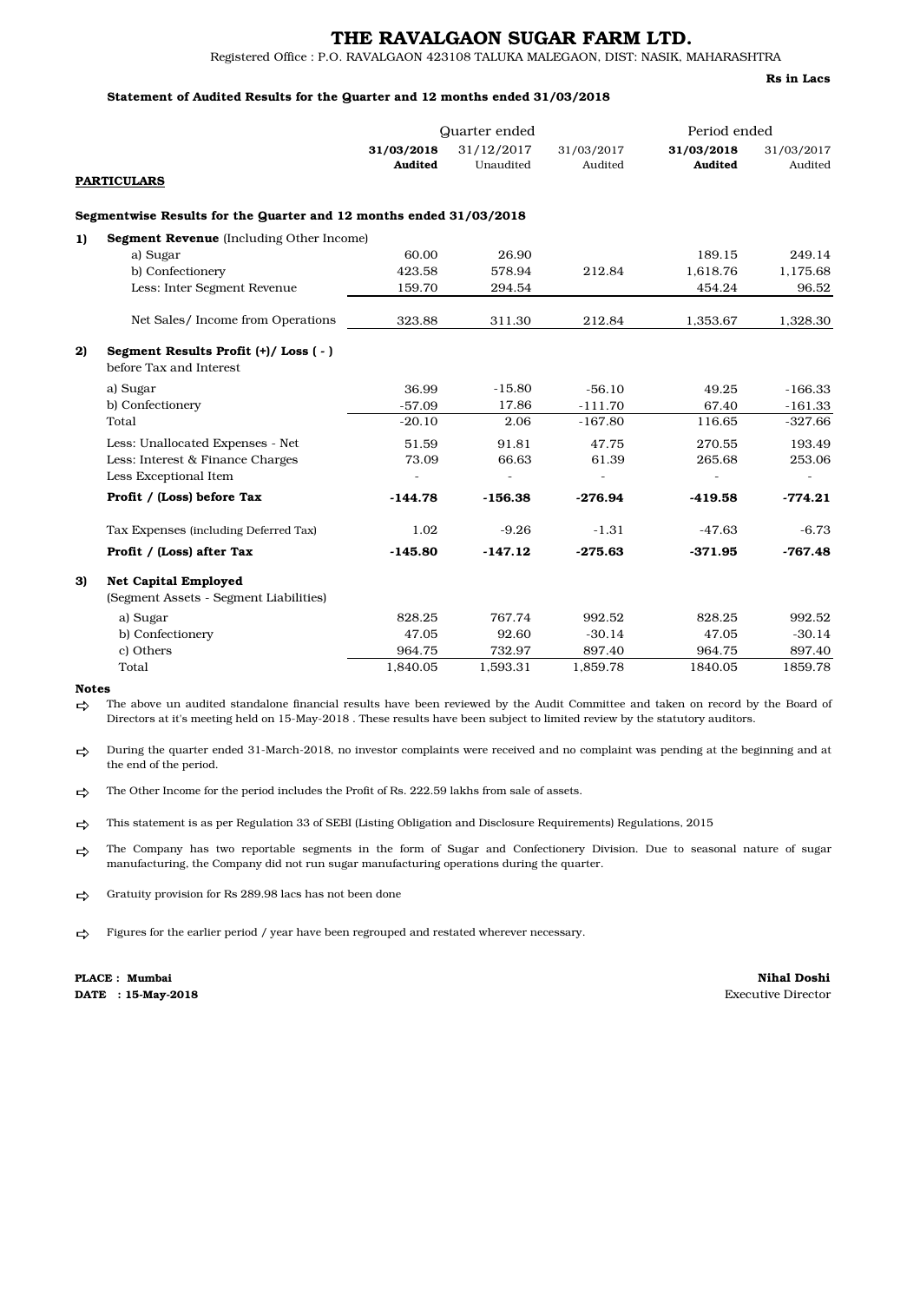# THE RAVALGAON SUGAR FARM LTD.

Registered Office : P.O. RAVALGAON 423108 TALUKA MALEGAON, DIST: NASIK, MAHARASHTRA

#### Statement of Audited Results for the Quarter and 12 months ended 31/03/2018

Rs in Lacs

|    |                                                                       | Quarter ended         |                         | Period ended          |                       |                       |  |
|----|-----------------------------------------------------------------------|-----------------------|-------------------------|-----------------------|-----------------------|-----------------------|--|
|    |                                                                       | 31/03/2018<br>Audited | 31/12/2017<br>Unaudited | 31/03/2017<br>Audited | 31/03/2018<br>Audited | 31/03/2017<br>Audited |  |
|    | <b>PARTICULARS</b>                                                    |                       |                         |                       |                       |                       |  |
|    | Segmentwise Results for the Quarter and 12 months ended 31/03/2018    |                       |                         |                       |                       |                       |  |
| 1) | <b>Segment Revenue</b> (Including Other Income)                       |                       |                         |                       |                       |                       |  |
|    | a) Sugar                                                              | 60.00                 | 26.90                   |                       | 189.15                | 249.14                |  |
|    | b) Confectionery                                                      | 423.58                | 578.94                  | 212.84                | 1,618.76              | 1,175.68              |  |
|    | Less: Inter Segment Revenue                                           | 159.70                | 294.54                  |                       | 454.24                | 96.52                 |  |
|    | Net Sales/ Income from Operations                                     | 323.88                | 311.30                  | 212.84                | 1.353.67              | 1.328.30              |  |
| 2) | Segment Results Profit (+)/Loss (-)<br>before Tax and Interest        |                       |                         |                       |                       |                       |  |
|    | a) Sugar                                                              | 36.99                 | $-15.80$                | $-56.10$              | 49.25                 | $-166.33$             |  |
|    | b) Confectionery                                                      | $-57.09$              | 17.86                   | $-111.70$             | 67.40                 | $-161.33$             |  |
|    | Total                                                                 | $-20.10$              | 2.06                    | $-167.80$             | 116.65                | $-327.66$             |  |
|    | Less: Unallocated Expenses - Net                                      | 51.59                 | 91.81                   | 47.75                 | 270.55                | 193.49                |  |
|    | Less: Interest & Finance Charges                                      | 73.09                 | 66.63                   | 61.39                 | 265.68                | 253.06                |  |
|    | Less Exceptional Item                                                 |                       | $\overline{a}$          | ÷                     |                       | ÷.                    |  |
|    | Profit / (Loss) before Tax                                            | $-144.78$             | $-156.38$               | $-276.94$             | $-419.58$             | $-774.21$             |  |
|    | Tax Expenses (including Deferred Tax)                                 | 1.02                  | $-9.26$                 | $-1.31$               | -47.63                | $-6.73$               |  |
|    | Profit / (Loss) after Tax                                             | $-145.80$             | $-147.12$               | $-275.63$             | $-371.95$             | $-767.48$             |  |
| 3) | <b>Net Capital Employed</b><br>(Segment Assets - Segment Liabilities) |                       |                         |                       |                       |                       |  |
|    | a) Sugar                                                              | 828.25                | 767.74                  | 992.52                | 828.25                | 992.52                |  |
|    | b) Confectionery                                                      | 47.05                 | 92.60                   | $-30.14$              | 47.05                 | $-30.14$              |  |
|    | c) Others                                                             | 964.75                | 732.97                  | 897.40                | 964.75                | 897.40                |  |
|    | Total                                                                 | 1,840.05              | 1,593.31                | 1,859.78              | 1840.05               | 1859.78               |  |

Notes

ゥ The above un audited standalone financial results have been reviewed by the Audit Committee and taken on record by the Board of Directors at it's meeting held on 15-May-2018 . These results have been subject to limited review by the statutory auditors.

 $\Rightarrow$ During the quarter ended 31-March-2018, no investor complaints were received and no complaint was pending at the beginning and at the end of the period.

 $\rightarrow$ The Other Income for the period includes the Profit of Rs. 222.59 lakhs from sale of assets.

已 This statement is as per Regulation 33 of SEBI (Listing Obligation and Disclosure Requirements) Regulations, 2015

⇨ The Company has two reportable segments in the form of Sugar and Confectionery Division. Due to seasonal nature of sugar manufacturing, the Company did not run sugar manufacturing operations during the quarter.

 $\rightarrow$ Gratuity provision for Rs 289.98 lacs has not been done

⇨ Figures for the earlier period / year have been regrouped and restated wherever necessary.

DATE : 15-May-2018 Executive Director PLACE : Mumbai

Nihal Doshi